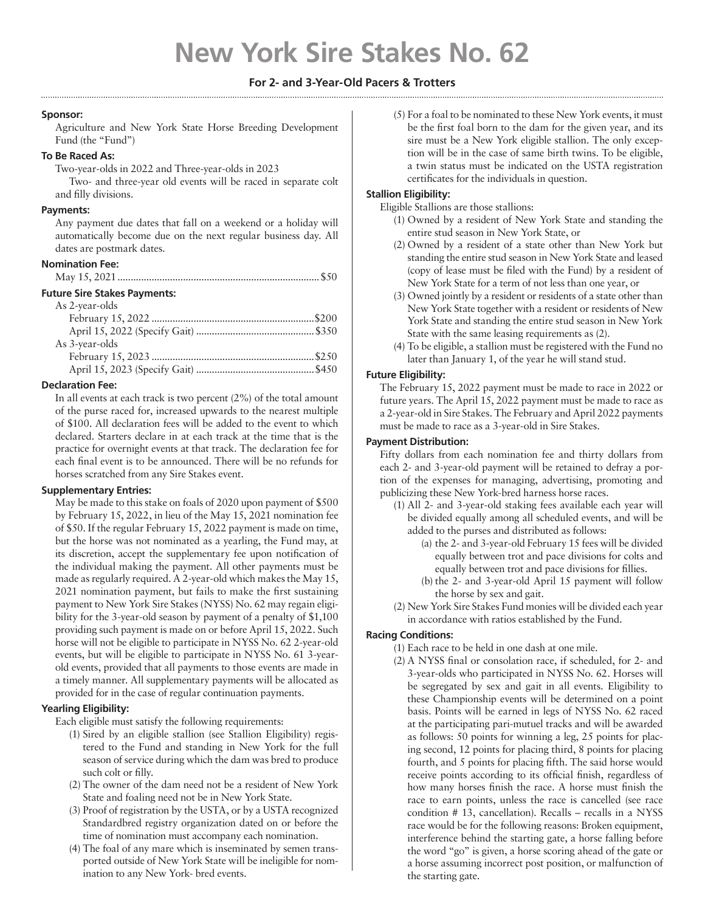# **New York Sire Stakes No. 62**

## **For 2- and 3-Year-Old Pacers & Trotters**

## **Sponsor:**

Agriculture and New York State Horse Breeding Development Fund (the "Fund")

## **To Be Raced As:**

Two-year-olds in 2022 and Three-year-olds in 2023

Two- and three-year old events will be raced in separate colt and filly divisions.

### **Payments:**

Any payment due dates that fall on a weekend or a holiday will automatically become due on the next regular business day. All dates are postmark dates.

#### **Nomination Fee:**

|--|--|--|--|--|

## **Future Sire Stakes Payments:**

| As 2-year-olds |  |
|----------------|--|
|                |  |
|                |  |
| As 3-year-olds |  |
|                |  |
|                |  |

## **Declaration Fee:**

In all events at each track is two percent (2%) of the total amount of the purse raced for, increased upwards to the nearest multiple of \$100. All declaration fees will be added to the event to which declared. Starters declare in at each track at the time that is the practice for overnight events at that track. The declaration fee for each final event is to be announced. There will be no refunds for horses scratched from any Sire Stakes event.

### **Supplementary Entries:**

May be made to this stake on foals of 2020 upon payment of \$500 by February 15, 2022, in lieu of the May 15, 2021 nomination fee of \$50. If the regular February 15, 2022 payment is made on time, but the horse was not nominated as a yearling, the Fund may, at its discretion, accept the supplementary fee upon notification of the individual making the payment. All other payments must be made as regularly required. A 2-year-old which makes the May 15, 2021 nomination payment, but fails to make the first sustaining payment to New York Sire Stakes (NYSS) No. 62 may regain eligibility for the 3-year-old season by payment of a penalty of \$1,100 providing such payment is made on or before April 15, 2022. Such horse will not be eligible to participate in NYSS No. 62 2-year-old events, but will be eligible to participate in NYSS No. 61 3-yearold events, provided that all payments to those events are made in a timely manner. All supplementary payments will be allocated as provided for in the case of regular continuation payments.

## **Yearling Eligibility:**

Each eligible must satisfy the following requirements:

- (1) Sired by an eligible stallion (see Stallion Eligibility) registered to the Fund and standing in New York for the full season of service during which the dam was bred to produce such colt or filly.
- (2) The owner of the dam need not be a resident of New York State and foaling need not be in New York State.
- (3) Proof of registration by the USTA, or by a USTA recognized Standardbred registry organization dated on or before the time of nomination must accompany each nomination.
- (4) The foal of any mare which is inseminated by semen transported outside of New York State will be ineligible for nomination to any New York- bred events.

(5) For a foal to be nominated to these New York events, it must be the first foal born to the dam for the given year, and its sire must be a New York eligible stallion. The only exception will be in the case of same birth twins. To be eligible, a twin status must be indicated on the USTA registration certificates for the individuals in question.

# **Stallion Eligibility:**

Eligible Stallions are those stallions:

- (1) Owned by a resident of New York State and standing the entire stud season in New York State, or
- (2) Owned by a resident of a state other than New York but standing the entire stud season in New York State and leased (copy of lease must be filed with the Fund) by a resident of New York State for a term of not less than one year, or
- (3) Owned jointly by a resident or residents of a state other than New York State together with a resident or residents of New York State and standing the entire stud season in New York State with the same leasing requirements as (2).
- (4) To be eligible, a stallion must be registered with the Fund no later than January 1, of the year he will stand stud.

## **Future Eligibility:**

The February 15, 2022 payment must be made to race in 2022 or future years. The April 15, 2022 payment must be made to race as a 2-year-old in Sire Stakes. The February and April 2022 payments must be made to race as a 3-year-old in Sire Stakes.

## **Payment Distribution:**

Fifty dollars from each nomination fee and thirty dollars from each 2- and 3-year-old payment will be retained to defray a portion of the expenses for managing, advertising, promoting and publicizing these New York-bred harness horse races.

- (1) All 2- and 3-year-old staking fees available each year will be divided equally among all scheduled events, and will be added to the purses and distributed as follows:
	- (a) the 2- and 3-year-old February 15 fees will be divided equally between trot and pace divisions for colts and equally between trot and pace divisions for fillies.
	- (b) the 2- and 3-year-old April 15 payment will follow the horse by sex and gait.
- (2) New York Sire Stakes Fund monies will be divided each year in accordance with ratios established by the Fund.

## **Racing Conditions:**

- (1) Each race to be held in one dash at one mile.
- (2) A NYSS final or consolation race, if scheduled, for 2- and 3-year-olds who participated in NYSS No. 62. Horses will be segregated by sex and gait in all events. Eligibility to these Championship events will be determined on a point basis. Points will be earned in legs of NYSS No. 62 raced at the participating pari-mutuel tracks and will be awarded as follows: 50 points for winning a leg, 25 points for placing second, 12 points for placing third, 8 points for placing fourth, and 5 points for placing fifth. The said horse would receive points according to its official finish, regardless of how many horses finish the race. A horse must finish the race to earn points, unless the race is cancelled (see race condition # 13, cancellation). Recalls – recalls in a NYSS race would be for the following reasons: Broken equipment, interference behind the starting gate, a horse falling before the word "go" is given, a horse scoring ahead of the gate or a horse assuming incorrect post position, or malfunction of the starting gate.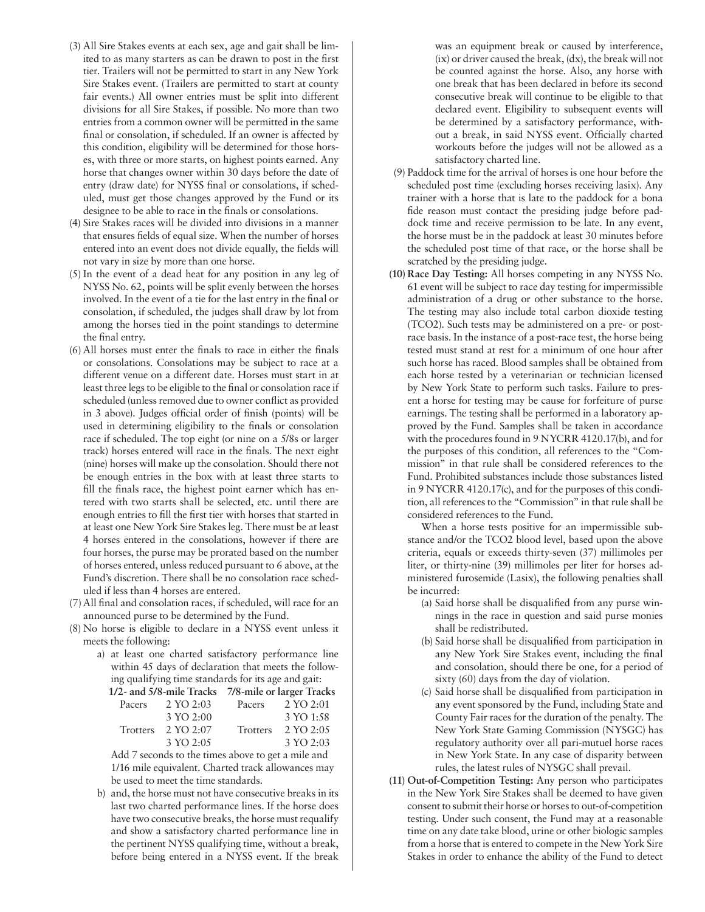- (3) All Sire Stakes events at each sex, age and gait shall be limited to as many starters as can be drawn to post in the first tier. Trailers will not be permitted to start in any New York Sire Stakes event. (Trailers are permitted to start at county fair events.) All owner entries must be split into different divisions for all Sire Stakes, if possible. No more than two entries from a common owner will be permitted in the same final or consolation, if scheduled. If an owner is affected by this condition, eligibility will be determined for those horses, with three or more starts, on highest points earned. Any horse that changes owner within 30 days before the date of entry (draw date) for NYSS final or consolations, if scheduled, must get those changes approved by the Fund or its designee to be able to race in the finals or consolations.
- (4) Sire Stakes races will be divided into divisions in a manner that ensures fields of equal size. When the number of horses entered into an event does not divide equally, the fields will not vary in size by more than one horse.
- (5) In the event of a dead heat for any position in any leg of NYSS No. 62, points will be split evenly between the horses involved. In the event of a tie for the last entry in the final or consolation, if scheduled, the judges shall draw by lot from among the horses tied in the point standings to determine the final entry.
- (6) All horses must enter the finals to race in either the finals or consolations. Consolations may be subject to race at a different venue on a different date. Horses must start in at least three legs to be eligible to the final or consolation race if scheduled (unless removed due to owner conflict as provided in 3 above). Judges official order of finish (points) will be used in determining eligibility to the finals or consolation race if scheduled. The top eight (or nine on a 5/8s or larger track) horses entered will race in the finals. The next eight (nine) horses will make up the consolation. Should there not be enough entries in the box with at least three starts to fill the finals race, the highest point earner which has entered with two starts shall be selected, etc. until there are enough entries to fill the first tier with horses that started in at least one New York Sire Stakes leg. There must be at least 4 horses entered in the consolations, however if there are four horses, the purse may be prorated based on the number of horses entered, unless reduced pursuant to 6 above, at the Fund's discretion. There shall be no consolation race scheduled if less than 4 horses are entered.
- (7) All final and consolation races, if scheduled, will race for an announced purse to be determined by the Fund.
- (8) No horse is eligible to declare in a NYSS event unless it meets the following:
	- a) at least one charted satisfactory performance line within 45 days of declaration that meets the following qualifying time standards for its age and gait:

**1/2- and 5/8-mile Tracks 7/8-mile or larger Tracks** 

| Pacers | $2 \text{ YO } 2:03$                               | Pacers          | 2 YO 2:01 |  |
|--------|----------------------------------------------------|-----------------|-----------|--|
|        | 3 YO 2:00                                          |                 | 3 YO 1:58 |  |
|        | Trotters $2 \text{ YO } 2:07$                      | <b>Trotters</b> | 2 YO 2:05 |  |
|        | 3 YO 2:05                                          |                 | 3 YO 2:03 |  |
|        | Add 7 seconds to the times above to get a mile and |                 |           |  |

Add 7 seconds to the times above to get a mile and 1/16 mile equivalent. Charted track allowances may be used to meet the time standards.

b) and, the horse must not have consecutive breaks in its last two charted performance lines. If the horse does have two consecutive breaks, the horse must requalify and show a satisfactory charted performance line in the pertinent NYSS qualifying time, without a break, before being entered in a NYSS event. If the break

was an equipment break or caused by interference, (ix) or driver caused the break, (dx), the break will not be counted against the horse. Also, any horse with one break that has been declared in before its second consecutive break will continue to be eligible to that declared event. Eligibility to subsequent events will be determined by a satisfactory performance, without a break, in said NYSS event. Officially charted workouts before the judges will not be allowed as a satisfactory charted line.

- (9) Paddock time for the arrival of horses is one hour before the scheduled post time (excluding horses receiving lasix). Any trainer with a horse that is late to the paddock for a bona fide reason must contact the presiding judge before paddock time and receive permission to be late. In any event, the horse must be in the paddock at least 30 minutes before the scheduled post time of that race, or the horse shall be scratched by the presiding judge.
- **(10) Race Day Testing:** All horses competing in any NYSS No. 61 event will be subject to race day testing for impermissible administration of a drug or other substance to the horse. The testing may also include total carbon dioxide testing (TCO2). Such tests may be administered on a pre- or postrace basis. In the instance of a post-race test, the horse being tested must stand at rest for a minimum of one hour after such horse has raced. Blood samples shall be obtained from each horse tested by a veterinarian or technician licensed by New York State to perform such tasks. Failure to present a horse for testing may be cause for forfeiture of purse earnings. The testing shall be performed in a laboratory approved by the Fund. Samples shall be taken in accordance with the procedures found in 9 NYCRR 4120.17(b), and for the purposes of this condition, all references to the "Commission" in that rule shall be considered references to the Fund. Prohibited substances include those substances listed in 9 NYCRR 4120.17(c), and for the purposes of this condition, all references to the "Commission" in that rule shall be considered references to the Fund.

When a horse tests positive for an impermissible substance and/or the TCO2 blood level, based upon the above criteria, equals or exceeds thirty-seven (37) millimoles per liter, or thirty-nine (39) millimoles per liter for horses administered furosemide (Lasix), the following penalties shall be incurred:

- (a) Said horse shall be disqualified from any purse winnings in the race in question and said purse monies shall be redistributed.
- (b) Said horse shall be disqualified from participation in any New York Sire Stakes event, including the final and consolation, should there be one, for a period of sixty (60) days from the day of violation.
- (c) Said horse shall be disqualified from participation in any event sponsored by the Fund, including State and County Fair races for the duration of the penalty. The New York State Gaming Commission (NYSGC) has regulatory authority over all pari-mutuel horse races in New York State. In any case of disparity between rules, the latest rules of NYSGC shall prevail.
- **(11) Out-of-Competition Testing:** Any person who participates in the New York Sire Stakes shall be deemed to have given consent to submit their horse or horses to out-of-competition testing. Under such consent, the Fund may at a reasonable time on any date take blood, urine or other biologic samples from a horse that is entered to compete in the New York Sire Stakes in order to enhance the ability of the Fund to detect